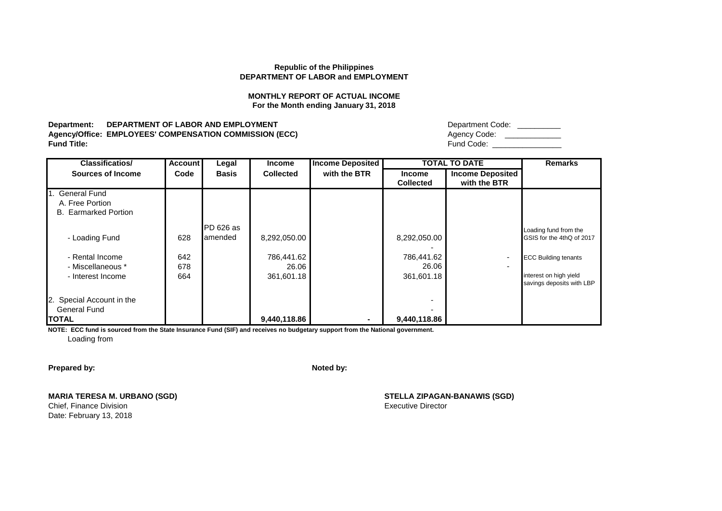## **MONTHLY REPORT OF ACTUAL INCOME For the Month ending January 31, 2018**

**Department: DEPARTMENT OF LABOR AND EMPLOYMENT Agency/Office: EMPLOYEES' COMPENSATION COMMISSION (ECC)**<br>Fund Title: **Fund Title:** Fund Code: \_\_\_\_\_\_\_\_\_\_\_\_\_\_\_\_

| Department Code: |
|------------------|
| Agency Code:     |
| Fund Code:       |

| <b>Classificatios/</b>        | <b>Account</b> | Legal        | <b>Income</b>    | <b>Income Deposited</b> |                  | <b>TOTAL TO DATE</b>     | <b>Remarks</b>                                      |
|-------------------------------|----------------|--------------|------------------|-------------------------|------------------|--------------------------|-----------------------------------------------------|
| <b>Sources of Income</b>      | Code           | <b>Basis</b> | <b>Collected</b> | with the BTR            | <b>Income</b>    | <b>Income Deposited</b>  |                                                     |
|                               |                |              |                  |                         | <b>Collected</b> | with the BTR             |                                                     |
| 1. General Fund               |                |              |                  |                         |                  |                          |                                                     |
| A. Free Portion               |                |              |                  |                         |                  |                          |                                                     |
| <b>B.</b> Earmarked Portion   |                |              |                  |                         |                  |                          |                                                     |
|                               |                | PD 626 as    |                  |                         |                  |                          | Loading fund from the                               |
| - Loading Fund                | 628            | lamended     | 8,292,050.00     |                         | 8,292,050.00     |                          | GSIS for the 4thQ of 2017                           |
| - Rental Income               | 642            |              | 786,441.62       |                         | 786,441.62       | $\sim$                   | <b>ECC Building tenants</b>                         |
| - Miscellaneous *             | 678            |              | 26.06            |                         | 26.06            | $\overline{\phantom{0}}$ |                                                     |
| - Interest Income             | 664            |              | 361,601.18       |                         | 361,601.18       |                          | interest on high yield<br>savings deposits with LBP |
| I2.<br>Special Account in the |                |              |                  |                         |                  |                          |                                                     |
| <b>General Fund</b>           |                |              |                  |                         |                  |                          |                                                     |
| <b>ITOTAL</b>                 |                |              | 9,440,118.86     | $\blacksquare$          | 9,440,118.86     |                          |                                                     |

**NOTE: ECC fund is sourced from the State Insurance Fund (SIF) and receives no budgetary support from the National government.** Loading from

**Prepared by: Noted by: Noted by: Noted by: Noted by: Noted by: Noted by: Noted by: Noted by: Noted by: Noted by: Noted by: Noted by: Noted by: Noted by: Noted by: Noted by: Noted by: No** 

**MARIA TERESA M. URBANO (SGD) STELLA ZIPAGAN-BANAWIS (SGD)**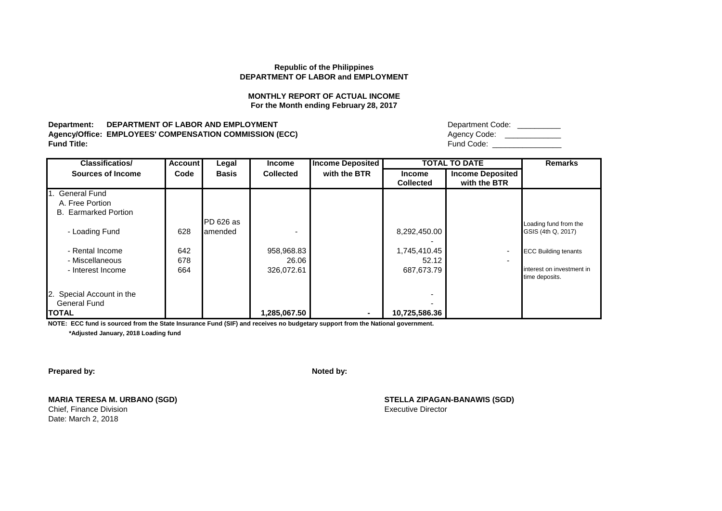## **MONTHLY REPORT OF ACTUAL INCOME For the Month ending February 28, 2017**

**Department: DEPARTMENT OF LABOR AND EMPLOYMENT Agency/Office: EMPLOYEES' COMPENSATION COMMISSION (ECC)**<br>Fund Title: **Fund Title:** Fund Code: \_\_\_\_\_\_\_\_\_\_\_\_\_\_\_\_

| Department Code: |
|------------------|
| Agency Code:     |
| Fund Code:       |

| <b>Classificatios/</b>      | <b>Account</b> | Legal        | <b>Income</b>    | <b>Income Deposited</b> |                  | <b>TOTAL TO DATE</b>    | <b>Remarks</b>              |
|-----------------------------|----------------|--------------|------------------|-------------------------|------------------|-------------------------|-----------------------------|
| <b>Sources of Income</b>    | Code           | <b>Basis</b> | <b>Collected</b> | with the BTR            | <b>Income</b>    | <b>Income Deposited</b> |                             |
|                             |                |              |                  |                         | <b>Collected</b> | with the BTR            |                             |
| 1. General Fund             |                |              |                  |                         |                  |                         |                             |
| A. Free Portion             |                |              |                  |                         |                  |                         |                             |
| <b>B.</b> Earmarked Portion |                |              |                  |                         |                  |                         |                             |
|                             |                | PD 626 as    |                  |                         |                  |                         | Loading fund from the       |
| - Loading Fund              | 628            | lamended     |                  |                         | 8,292,450.00     |                         | GSIS (4th Q, 2017)          |
|                             |                |              |                  |                         |                  |                         |                             |
| - Rental Income             | 642            |              | 958,968.83       |                         | 1,745,410.45     | $\blacksquare$          | <b>ECC Building tenants</b> |
| - Miscellaneous             | 678            |              | 26.06            |                         | 52.12            | ۰                       |                             |
| - Interest Income           | 664            |              | 326,072.61       |                         | 687,673.79       |                         | interest on investment in   |
|                             |                |              |                  |                         |                  |                         | time deposits.              |
|                             |                |              |                  |                         |                  |                         |                             |
| 2. Special Account in the   |                |              |                  |                         |                  |                         |                             |
| <b>General Fund</b>         |                |              |                  |                         |                  |                         |                             |
| <b>ITOTAL</b>               |                |              | 1,285,067.50     | $\blacksquare$          | 10,725,586.36    |                         |                             |

**NOTE: ECC fund is sourced from the State Insurance Fund (SIF) and receives no budgetary support from the National government.**

 **\*Adjusted January, 2018 Loading fund**

**Prepared by: Noted by: Noted by: Noted by: Noted by: Noted by: Noted by: Noted by: Noted by: Noted by: Noted by: Noted by: Noted by: Noted by: Noted by: Noted by: Noted by: Noted by: No** 

**MARIA TERESA M. URBANO (SGD) STELLA ZIPAGAN-BANAWIS (SGD)**

Date: March 2, 2018

Chief, Finance Division **Executive Director** Chief, Finance Division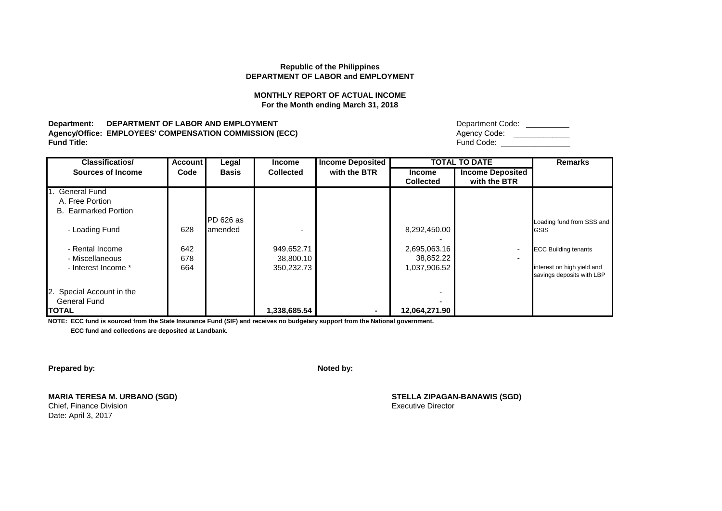# **MONTHLY REPORT OF ACTUAL INCOME For the Month ending March 31, 2018**

**Department: DEPARTMENT OF LABOR AND EMPLOYMENT Agency/Office: EMPLOYEES' COMPENSATION COMMISSION (ECC)**<br>Fund Title: **Fund Title:** Fund Code: \_\_\_\_\_\_\_\_\_\_\_\_\_\_\_\_

| Department Code: |  |
|------------------|--|
| Agency Code:     |  |
| Fund Code:       |  |

| <b>Classificatios/</b>      | <b>Account</b> | Legal        | <b>Income</b>    | <b>Income Deposited</b> |                  | <b>TOTAL TO DATE</b>     | <b>Remarks</b>              |
|-----------------------------|----------------|--------------|------------------|-------------------------|------------------|--------------------------|-----------------------------|
| <b>Sources of Income</b>    | Code           | <b>Basis</b> | <b>Collected</b> | with the BTR            | <b>Income</b>    | <b>Income Deposited</b>  |                             |
|                             |                |              |                  |                         | <b>Collected</b> | with the BTR             |                             |
| 1. General Fund             |                |              |                  |                         |                  |                          |                             |
| A. Free Portion             |                |              |                  |                         |                  |                          |                             |
| <b>B.</b> Earmarked Portion |                |              |                  |                         |                  |                          |                             |
|                             |                | PD 626 as    |                  |                         |                  |                          | Loading fund from SSS and   |
| - Loading Fund              | 628            | amended      |                  |                         | 8,292,450.00     |                          | <b>GSIS</b>                 |
|                             |                |              |                  |                         |                  |                          |                             |
| - Rental Income             | 642            |              | 949,652.71       |                         | 2,695,063.16     | $\overline{\phantom{a}}$ | <b>ECC Building tenants</b> |
|                             |                |              |                  |                         |                  |                          |                             |
| - Miscellaneous             | 678            |              | 38,800.10        |                         | 38,852.22        | $\overline{\phantom{0}}$ |                             |
| - Interest Income *         | 664            |              | 350.232.73       |                         | 1,037,906.52     |                          | interest on high yield and  |
|                             |                |              |                  |                         |                  |                          | savings deposits with LBP   |
|                             |                |              |                  |                         |                  |                          |                             |
| 2. Special Account in the   |                |              |                  |                         |                  |                          |                             |
| <b>General Fund</b>         |                |              |                  |                         |                  |                          |                             |
| <b>ITOTAL</b>               |                |              | 1,338,685.54     |                         | 12,064,271.90    |                          |                             |

**NOTE: ECC fund is sourced from the State Insurance Fund (SIF) and receives no budgetary support from the National government.**

 **ECC fund and collections are deposited at Landbank.**

**Prepared by: Noted by: Noted by: Noted by: Noted by: Noted by: Noted by: Noted by: Noted by: Noted by: Noted by: Noted by: Noted by: Noted by: Noted by: Noted by: Noted by: Noted by: No** 

**MARIA TERESA M. URBANO (SGD) STELLA ZIPAGAN-BANAWIS (SGD)**

Date: April 3, 2017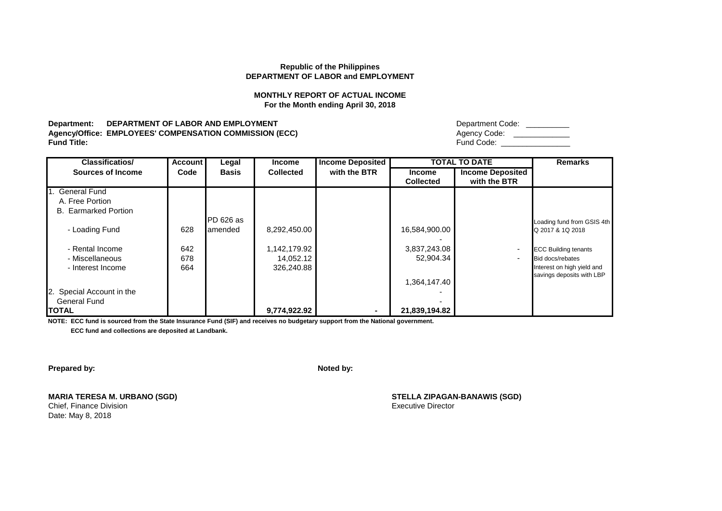# **MONTHLY REPORT OF ACTUAL INCOME For the Month ending April 30, 2018**

**Department: DEPARTMENT OF LABOR AND EMPLOYMENT Agency/Office: EMPLOYEES' COMPENSATION COMMISSION (ECC)**<br>Fund Title: **Fund Title:** Fund Code: \_\_\_\_\_\_\_\_\_\_\_\_\_\_\_\_

| Department Code: |  |
|------------------|--|
| Agency Code:     |  |
| Fund Code:       |  |

| <b>Classificatios/</b>      | <b>Account</b> | Legal        | <b>Income</b>    | <b>Income Deposited</b> |                  | <b>TOTAL TO DATE</b>     | <b>Remarks</b>              |
|-----------------------------|----------------|--------------|------------------|-------------------------|------------------|--------------------------|-----------------------------|
| <b>Sources of Income</b>    | Code           | <b>Basis</b> | <b>Collected</b> | with the BTR            | <b>Income</b>    | <b>Income Deposited</b>  |                             |
|                             |                |              |                  |                         | <b>Collected</b> | with the BTR             |                             |
| 1. General Fund             |                |              |                  |                         |                  |                          |                             |
| A. Free Portion             |                |              |                  |                         |                  |                          |                             |
| <b>B.</b> Earmarked Portion |                |              |                  |                         |                  |                          |                             |
|                             |                | PD 626 as    |                  |                         |                  |                          | Loading fund from GSIS 4th  |
| - Loading Fund              | 628            | amended      | 8,292,450.00     |                         | 16,584,900.00    |                          | Q 2017 & 1Q 2018            |
|                             |                |              |                  |                         |                  |                          |                             |
| - Rental Income             | 642            |              | 1,142,179.92     |                         | 3,837,243.08     | $\overline{\phantom{a}}$ | <b>ECC Building tenants</b> |
| - Miscellaneous             | 678            |              | 14,052.12        |                         | 52,904.34        | $\overline{\phantom{0}}$ | Bid docs/rebates            |
| - Interest Income           | 664            |              | 326.240.88       |                         |                  |                          | Interest on high yield and  |
|                             |                |              |                  |                         |                  |                          | savings deposits with LBP   |
|                             |                |              |                  |                         | 1,364,147.40     |                          |                             |
| 2. Special Account in the   |                |              |                  |                         |                  |                          |                             |
| <b>General Fund</b>         |                |              |                  |                         |                  |                          |                             |
| <b>ITOTAL</b>               |                |              | 9,774,922.92     |                         | 21,839,194.82    |                          |                             |

**NOTE: ECC fund is sourced from the State Insurance Fund (SIF) and receives no budgetary support from the National government.**

 **ECC fund and collections are deposited at Landbank.**

**Prepared by: Noted by: Noted by: Noted by: Noted by: Noted by: Noted by: Noted by: Noted by: Noted by: Noted by: Noted by: Noted by: Noted by: Noted by: Noted by: Noted by: Noted by: No** 

**MARIA TERESA M. URBANO (SGD) STELLA ZIPAGAN-BANAWIS (SGD)**

Date: May 8, 2018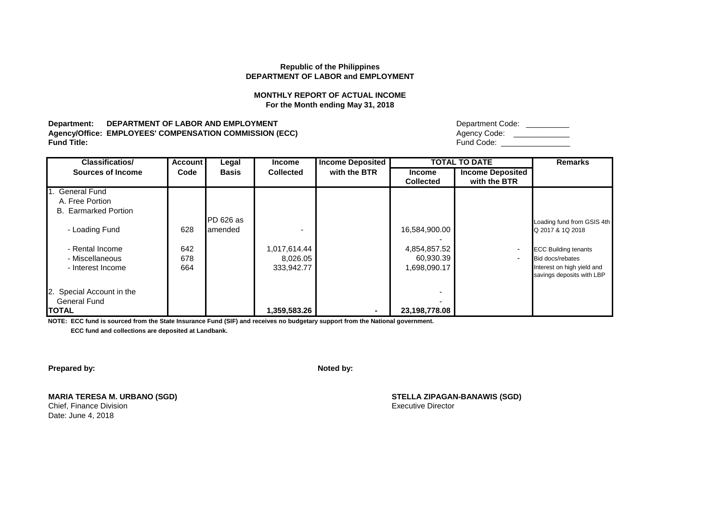# **MONTHLY REPORT OF ACTUAL INCOME For the Month ending May 31, 2018**

**Department: DEPARTMENT OF LABOR AND EMPLOYMENT Agency/Office: EMPLOYEES' COMPENSATION COMMISSION (ECC)**<br>Fund Title: **Fund Title:** Fund Code: \_\_\_\_\_\_\_\_\_\_\_\_\_\_\_\_

| Department Code: |  |
|------------------|--|
| Agency Code:     |  |
| Fund Code:       |  |

| <b>Classificatios/</b>                                                              | <b>Account</b>    | Legal                | <b>Income</b>                          | <b>Income Deposited</b> |                                           | <b>TOTAL TO DATE</b>                       | <b>Remarks</b>                                                                                             |
|-------------------------------------------------------------------------------------|-------------------|----------------------|----------------------------------------|-------------------------|-------------------------------------------|--------------------------------------------|------------------------------------------------------------------------------------------------------------|
| <b>Sources of Income</b>                                                            | Code              | <b>Basis</b>         | <b>Collected</b>                       | with the BTR            | <b>Income</b><br><b>Collected</b>         | <b>Income Deposited</b><br>with the BTR    |                                                                                                            |
| 1. General Fund<br>A. Free Portion<br><b>B.</b> Earmarked Portion<br>- Loading Fund | 628               | PD 626 as<br>amended |                                        |                         | 16,584,900.00                             |                                            | Loading fund from GSIS 4th<br>Q 2017 & 1Q 2018                                                             |
| - Rental Income<br>- Miscellaneous<br>- Interest Income                             | 642<br>678<br>664 |                      | 1,017,614.44<br>8,026.05<br>333,942.77 |                         | 4,854,857.52<br>60,930.39<br>1,698,090.17 | $\overline{\phantom{a}}$<br>$\blacksquare$ | <b>ECC Building tenants</b><br>Bid docs/rebates<br>Interest on high yield and<br>savings deposits with LBP |
| 2. Special Account in the<br><b>General Fund</b><br><b>ITOTAL</b>                   |                   |                      | 1,359,583.26                           |                         | 23,198,778.08                             |                                            |                                                                                                            |

**NOTE: ECC fund is sourced from the State Insurance Fund (SIF) and receives no budgetary support from the National government.**

 **ECC fund and collections are deposited at Landbank.**

**Prepared by: Noted by: Noted by: Noted by: Noted by: Noted by: Noted by: Noted by: Noted by: Noted by: Noted by: Noted by: Noted by: Noted by: Noted by: Noted by: Noted by: Noted by: No** 

**MARIA TERESA M. URBANO (SGD) STELLA ZIPAGAN-BANAWIS (SGD)**

Date: June 4, 2018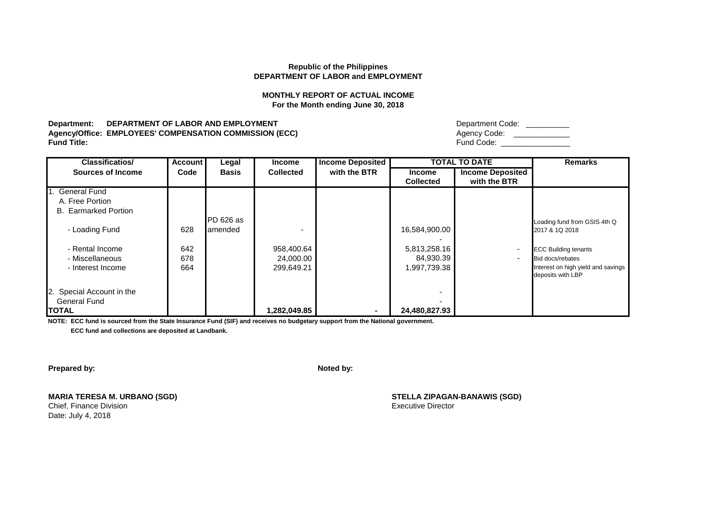# **MONTHLY REPORT OF ACTUAL INCOME For the Month ending June 30, 2018**

**Department: DEPARTMENT OF LABOR AND EMPLOYMENT Agency/Office: EMPLOYEES' COMPENSATION COMMISSION (ECC)**<br>Fund Title: **Fund Title:** Fund Code: \_\_\_\_\_\_\_\_\_\_\_\_\_\_\_\_

| Department Code: |  |
|------------------|--|
| Agency Code:     |  |
| Fund Code:       |  |

| <b>Classificatios/</b>                                            | <b>Account</b>    | Legal        | <b>Income</b>                         | <b>Income Deposited</b> |                                           | <b>TOTAL TO DATE</b>                    | <b>Remarks</b>                                                                                             |
|-------------------------------------------------------------------|-------------------|--------------|---------------------------------------|-------------------------|-------------------------------------------|-----------------------------------------|------------------------------------------------------------------------------------------------------------|
| Sources of Income                                                 | Code              | <b>Basis</b> | <b>Collected</b>                      | with the BTR            | <b>Income</b><br><b>Collected</b>         | <b>Income Deposited</b><br>with the BTR |                                                                                                            |
| I. General Fund<br>A. Free Portion<br><b>B.</b> Earmarked Portion |                   | PD 626 as    |                                       |                         |                                           |                                         |                                                                                                            |
| - Loading Fund                                                    | 628               | lamended     |                                       |                         | 16,584,900.00                             |                                         | Loading fund from GSIS 4th Q<br>2017 & 1Q 2018                                                             |
| - Rental Income<br>- Miscellaneous<br>- Interest Income           | 642<br>678<br>664 |              | 958,400.64<br>24,000.00<br>299,649.21 |                         | 5,813,258.16<br>84,930.39<br>1,997,739.38 |                                         | <b>ECC Building tenants</b><br>Bid docs/rebates<br>Interest on high yield and savings<br>deposits with LBP |
| 2. Special Account in the<br><b>General Fund</b><br><b>TOTAL</b>  |                   |              | 1,282,049.85                          | ۰                       | 24,480,827.93                             |                                         |                                                                                                            |

**NOTE: ECC fund is sourced from the State Insurance Fund (SIF) and receives no budgetary support from the National government.**

 **ECC fund and collections are deposited at Landbank.**

**Prepared by: Noted by: Noted by: Noted by: Noted by: Noted by: Noted by: Noted by: Noted by: Noted by: Noted by: Noted by: Noted by: Noted by: Noted by: Noted by: Noted by: Noted by: No** 

**MARIA TERESA M. URBANO (SGD) STELLA ZIPAGAN-BANAWIS (SGD)**

Date: July 4, 2018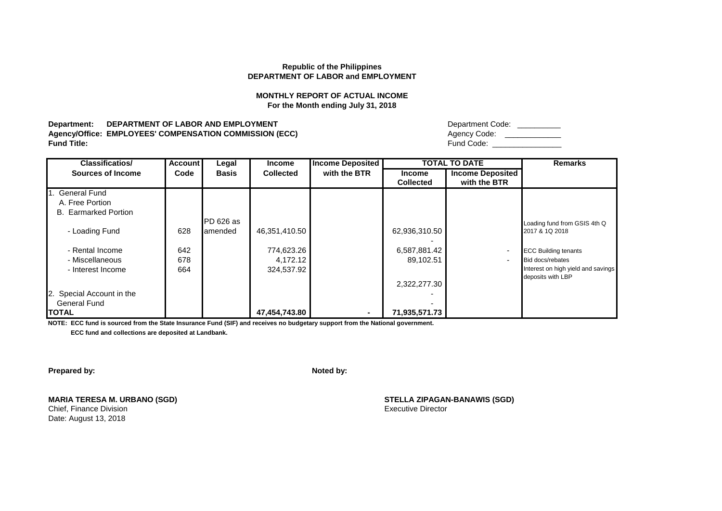# **MONTHLY REPORT OF ACTUAL INCOME For the Month ending July 31, 2018**

**Department: DEPARTMENT OF LABOR AND EMPLOYMENT Agency/Office: EMPLOYEES' COMPENSATION COMMISSION (ECC)**<br>Fund Title: **Fund Title:** Fund Code: \_\_\_\_\_\_\_\_\_\_\_\_\_\_\_\_

| Department Code: |
|------------------|
| Agency Code:     |
| Fund Code:       |

| <b>Classificatios/</b>      | <b>Account</b> | Legal        | <b>Income</b>    | <b>Income Deposited</b> |                  | <b>TOTAL TO DATE</b>     | <b>Remarks</b>                     |
|-----------------------------|----------------|--------------|------------------|-------------------------|------------------|--------------------------|------------------------------------|
| Sources of Income           | Code           | <b>Basis</b> | <b>Collected</b> | with the BTR            | <b>Income</b>    | <b>Income Deposited</b>  |                                    |
|                             |                |              |                  |                         | <b>Collected</b> | with the BTR             |                                    |
| 1. General Fund             |                |              |                  |                         |                  |                          |                                    |
| A. Free Portion             |                |              |                  |                         |                  |                          |                                    |
| <b>B.</b> Earmarked Portion |                |              |                  |                         |                  |                          |                                    |
|                             |                | PD 626 as    |                  |                         |                  |                          | Loading fund from GSIS 4th Q       |
| - Loading Fund              | 628            | lamended     | 46,351,410.50    |                         | 62,936,310.50    |                          | 2017 & 1Q 2018                     |
|                             |                |              |                  |                         |                  |                          |                                    |
| - Rental Income             | 642            |              | 774,623.26       |                         | 6,587,881.42     | $\overline{\phantom{a}}$ | <b>ECC Building tenants</b>        |
| - Miscellaneous             | 678            |              | 4,172.12         |                         | 89,102.51        | $\overline{\phantom{a}}$ | Bid docs/rebates                   |
| - Interest Income           | 664            |              | 324,537.92       |                         |                  |                          | Interest on high yield and savings |
|                             |                |              |                  |                         |                  |                          | deposits with LBP                  |
|                             |                |              |                  |                         | 2,322,277.30     |                          |                                    |
| 2. Special Account in the   |                |              |                  |                         |                  |                          |                                    |
| <b>General Fund</b>         |                |              |                  |                         |                  |                          |                                    |
| <b>ITOTAL</b>               |                |              | 47,454,743.80    | $\sim$                  | 71,935,571.73    |                          |                                    |

**NOTE: ECC fund is sourced from the State Insurance Fund (SIF) and receives no budgetary support from the National government.**

 **ECC fund and collections are deposited at Landbank.**

**Prepared by: Noted by: Noted by: Noted by: Noted by: Noted by: Noted by: Noted by: Noted by: Noted by: Noted by: Noted by: Noted by: Noted by: Noted by: Noted by: Noted by: Noted by: No** 

**MARIA TERESA M. URBANO (SGD) STELLA ZIPAGAN-BANAWIS (SGD)**

Date: August 13, 2018

**Chief, Finance Division** Executive Director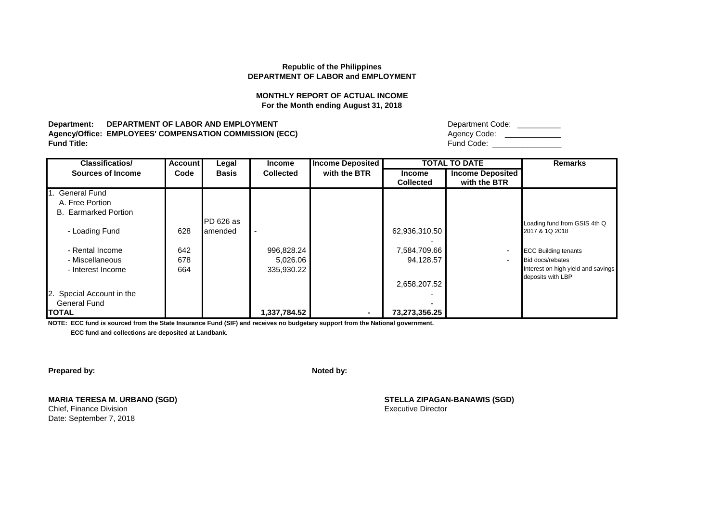# **MONTHLY REPORT OF ACTUAL INCOME For the Month ending August 31, 2018**

**Department: DEPARTMENT OF LABOR AND EMPLOYMENT Agency/Office: EMPLOYEES' COMPENSATION COMMISSION (ECC)**<br>Fund Title: **Fund Title:** Fund Code: \_\_\_\_\_\_\_\_\_\_\_\_\_\_\_\_

| Department Code: |
|------------------|
| Agency Code:     |
| Fund Code:       |

| <b>Classificatios/</b>      | <b>Account</b> | Legal        | <b>Income</b>    | <b>Income Deposited</b> |                  | <b>TOTAL TO DATE</b>     | <b>Remarks</b>                     |
|-----------------------------|----------------|--------------|------------------|-------------------------|------------------|--------------------------|------------------------------------|
| <b>Sources of Income</b>    | Code           | <b>Basis</b> | <b>Collected</b> | with the BTR            | <b>Income</b>    | <b>Income Deposited</b>  |                                    |
|                             |                |              |                  |                         | <b>Collected</b> | with the BTR             |                                    |
| 1. General Fund             |                |              |                  |                         |                  |                          |                                    |
| A. Free Portion             |                |              |                  |                         |                  |                          |                                    |
| <b>B.</b> Earmarked Portion |                |              |                  |                         |                  |                          |                                    |
|                             |                | PD 626 as    |                  |                         |                  |                          | Loading fund from GSIS 4th Q       |
| - Loading Fund              | 628            | amended      |                  |                         | 62,936,310.50    |                          | 2017 & 1Q 2018                     |
|                             |                |              |                  |                         |                  |                          |                                    |
| - Rental Income             | 642            |              | 996,828.24       |                         | 7,584,709.66     | $\overline{\phantom{a}}$ | <b>ECC Building tenants</b>        |
| - Miscellaneous             | 678            |              | 5,026.06         |                         | 94,128.57        | $\overline{\phantom{a}}$ | Bid docs/rebates                   |
| - Interest Income           | 664            |              | 335,930.22       |                         |                  |                          | Interest on high yield and savings |
|                             |                |              |                  |                         |                  |                          | deposits with LBP                  |
|                             |                |              |                  |                         | 2,658,207.52     |                          |                                    |
| 2. Special Account in the   |                |              |                  |                         |                  |                          |                                    |
| <b>General Fund</b>         |                |              |                  |                         |                  |                          |                                    |
| <b>ITOTAL</b>               |                |              | 1,337,784.52     | $\sim$                  | 73,273,356.25    |                          |                                    |

**NOTE: ECC fund is sourced from the State Insurance Fund (SIF) and receives no budgetary support from the National government.**

 **ECC fund and collections are deposited at Landbank.**

**Prepared by: Noted by: Noted by: Noted by: Noted by: Noted by: Noted by: Noted by: Noted by: Noted by: Noted by: Noted by: Noted by: Noted by: Noted by: Noted by: Noted by: Noted by: No** 

**MARIA TERESA M. URBANO (SGD) STELLA ZIPAGAN-BANAWIS (SGD)**

Date: September 7, 2018

**Chief, Finance Division** Executive Director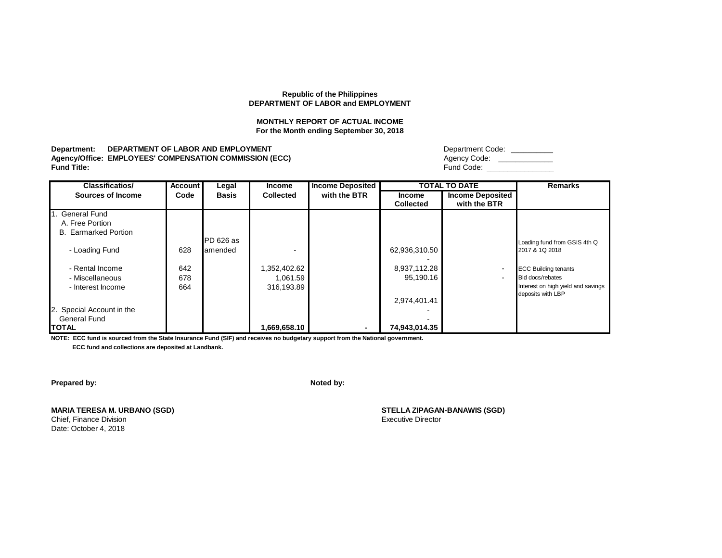#### **MONTHLY REPORT OF ACTUAL INCOME For the Month ending September 30, 2018**

**Department: DEPARTMENT OF LABOR AND EMPLOYMENT** Agency/Office: EMPLOYEES' COMPENSATION COMMISSION (ECC)<br>Fund Title: **Fund Title:** Fund Code: \_\_\_\_\_\_\_\_\_\_\_\_\_\_\_\_

| Department Code: |
|------------------|
| Agency Code:     |
| Fund Code:       |

| <b>Classificatios/</b>      | <b>Account</b> | Legal        | Income           | <b>Income Deposited</b> |                  | <b>TOTAL TO DATE</b>     | <b>Remarks</b>                     |
|-----------------------------|----------------|--------------|------------------|-------------------------|------------------|--------------------------|------------------------------------|
| <b>Sources of Income</b>    | Code           | <b>Basis</b> | <b>Collected</b> | with the BTR            | <b>Income</b>    | <b>Income Deposited</b>  |                                    |
|                             |                |              |                  |                         | <b>Collected</b> | with the BTR             |                                    |
| 1. General Fund             |                |              |                  |                         |                  |                          |                                    |
| A. Free Portion             |                |              |                  |                         |                  |                          |                                    |
| <b>B.</b> Earmarked Portion |                |              |                  |                         |                  |                          |                                    |
|                             |                | PD 626 as    |                  |                         |                  |                          | Loading fund from GSIS 4th Q       |
| - Loading Fund              | 628            | lamended     |                  |                         | 62,936,310.50    |                          | 2017 & 1Q 2018                     |
|                             |                |              |                  |                         |                  |                          |                                    |
| - Rental Income             | 642            |              | 1,352,402.62     |                         | 8,937,112.28     | $\overline{\phantom{a}}$ | <b>ECC Building tenants</b>        |
| - Miscellaneous             | 678            |              | 1,061.59         |                         | 95,190.16        | $\blacksquare$           | Bid docs/rebates                   |
| - Interest Income           | 664            |              | 316,193.89       |                         |                  |                          | Interest on high yield and savings |
|                             |                |              |                  |                         |                  |                          | deposits with LBP                  |
|                             |                |              |                  |                         | 2,974,401.41     |                          |                                    |
| 2. Special Account in the   |                |              |                  |                         |                  |                          |                                    |
| General Fund                |                |              |                  |                         |                  |                          |                                    |
| <b>TOTAL</b>                |                |              | 1,669,658.10     | $\sim$                  | 74,943,014.35    |                          |                                    |

**NOTE: ECC fund is sourced from the State Insurance Fund (SIF) and receives no budgetary support from the National government. ECC fund and collections are deposited at Landbank.**

**Prepared by: Noted by: Noted by: Noted by: Noted by: Noted by: Noted by: Noted by: Noted by: Noted by: Noted by: Noted by: Noted by: Noted by: Noted by: Noted by: Noted by: Noted by: No** 

**MARIA TERESA M. URBANO (SGD) STELLA ZIPAGAN-BANAWIS (SGD)** Chief, Finance Division Date: October 4, 2018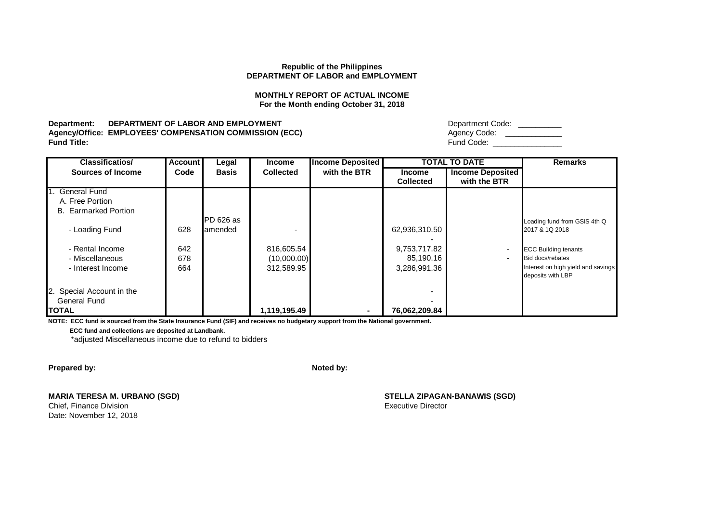# **MONTHLY REPORT OF ACTUAL INCOME For the Month ending October 31, 2018**

**Department: DEPARTMENT OF LABOR AND EMPLOYMENT Agency/Office: EMPLOYEES' COMPENSATION COMMISSION (ECC)**<br>Fund Title: **Fund Title:** Fund Code: \_\_\_\_\_\_\_\_\_\_\_\_\_\_\_\_

| Department Code: |  |
|------------------|--|
| Agency Code:     |  |
| Fund Code:       |  |

| <b>Classificatios/</b>                                            | <b>Account</b>    | Legal        | <b>Income</b>                           | <b>Income Deposited</b> |                                           | <b>TOTAL TO DATE</b>                                 | <b>Remarks</b>                                                                                             |
|-------------------------------------------------------------------|-------------------|--------------|-----------------------------------------|-------------------------|-------------------------------------------|------------------------------------------------------|------------------------------------------------------------------------------------------------------------|
| Sources of Income                                                 | Code              | <b>Basis</b> | <b>Collected</b>                        | with the BTR            | <b>Income</b><br><b>Collected</b>         | <b>Income Deposited</b><br>with the BTR              |                                                                                                            |
| 1. General Fund<br>A. Free Portion<br><b>B.</b> Earmarked Portion |                   | PD 626 as    |                                         |                         |                                           |                                                      | Loading fund from GSIS 4th Q                                                                               |
| - Loading Fund                                                    | 628               | amended      |                                         |                         | 62,936,310.50                             |                                                      | 2017 & 1Q 2018                                                                                             |
| - Rental Income<br>- Miscellaneous<br>- Interest Income           | 642<br>678<br>664 |              | 816,605.54<br>(10,000.00)<br>312,589.95 |                         | 9,753,717.82<br>85,190.16<br>3,286,991.36 | $\overline{\phantom{a}}$<br>$\overline{\phantom{a}}$ | <b>ECC Building tenants</b><br>Bid docs/rebates<br>Interest on high yield and savings<br>deposits with LBP |
| 2. Special Account in the<br><b>General Fund</b><br><b>TOTAL</b>  |                   |              | 1,119,195.49                            | ۰.                      | 76,062,209.84                             |                                                      |                                                                                                            |

**NOTE: ECC fund is sourced from the State Insurance Fund (SIF) and receives no budgetary support from the National government.**

 **ECC fund and collections are deposited at Landbank.**

\*adjusted Miscellaneous income due to refund to bidders

**Prepared by: Noted by: Noted by: Noted by: Noted by: Noted by: Noted by: Noted by: Noted by: Noted by: Noted by: Noted by: Noted by: Noted by: Noted by: Noted by: Noted by: Noted by: No** 

**MARIA TERESA M. URBANO (SGD) STELLA ZIPAGAN-BANAWIS (SGD)** Chief, Finance Division **Executive Director** Chief, Finance Division **Executive Director** 

Date: November 12, 2018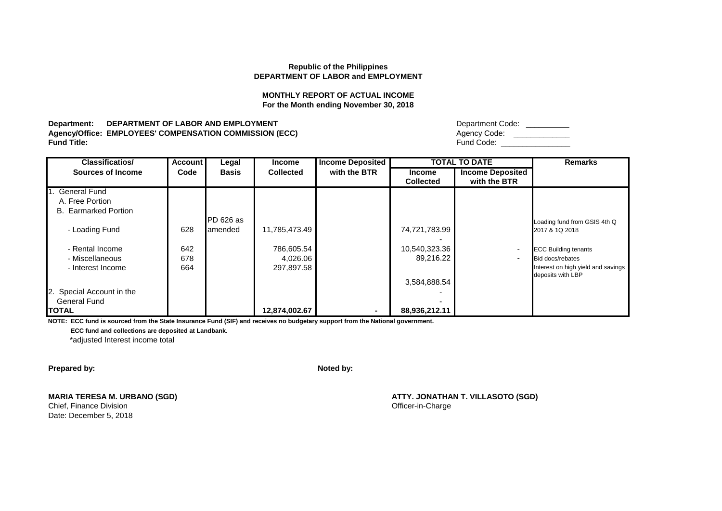# **MONTHLY REPORT OF ACTUAL INCOME For the Month ending November 30, 2018**

**Department: DEPARTMENT OF LABOR AND EMPLOYMENT Agency/Office: EMPLOYEES' COMPENSATION COMMISSION (ECC)**<br>Fund Title: **Fund Title:** Fund Code: \_\_\_\_\_\_\_\_\_\_\_\_\_\_\_\_

| Department Code: |  |
|------------------|--|
| Agency Code:     |  |
| Fund Code:       |  |

| <b>Classificatios/</b>      | <b>Account</b> | Legal        | <b>Income</b>    | <b>Income Deposited</b> |                  | <b>TOTAL TO DATE</b>    | <b>Remarks</b>                     |
|-----------------------------|----------------|--------------|------------------|-------------------------|------------------|-------------------------|------------------------------------|
| <b>Sources of Income</b>    | Code           | <b>Basis</b> | <b>Collected</b> | with the BTR            | <b>Income</b>    | <b>Income Deposited</b> |                                    |
|                             |                |              |                  |                         | <b>Collected</b> | with the BTR            |                                    |
| I. General Fund             |                |              |                  |                         |                  |                         |                                    |
| A. Free Portion             |                |              |                  |                         |                  |                         |                                    |
| <b>B.</b> Earmarked Portion |                |              |                  |                         |                  |                         |                                    |
|                             |                | PD 626 as    |                  |                         |                  |                         | Loading fund from GSIS 4th Q       |
| - Loading Fund              | 628            | amended      | 11,785,473.49    |                         | 74,721,783.99    |                         | 2017 & 1Q 2018                     |
|                             |                |              |                  |                         |                  |                         |                                    |
| - Rental Income             | 642            |              | 786,605.54       |                         | 10,540,323.36    |                         | <b>ECC Building tenants</b>        |
| - Miscellaneous             | 678            |              | 4,026.06         |                         | 89,216.22        |                         | Bid docs/rebates                   |
| - Interest Income           | 664            |              | 297,897.58       |                         |                  |                         | Interest on high yield and savings |
|                             |                |              |                  |                         |                  |                         | deposits with LBP                  |
|                             |                |              |                  |                         | 3,584,888.54     |                         |                                    |
| 2. Special Account in the   |                |              |                  |                         |                  |                         |                                    |
| <b>General Fund</b>         |                |              |                  |                         |                  |                         |                                    |
| <b>TOTAL</b>                |                |              | 12,874,002.67    | $\blacksquare$          | 88,936,212.11    |                         |                                    |

**NOTE: ECC fund is sourced from the State Insurance Fund (SIF) and receives no budgetary support from the National government.**

 **ECC fund and collections are deposited at Landbank.**

\*adjusted Interest income total

**Prepared by: Noted by: Noted by: Noted by: Noted by: Noted by: Noted by: Noted by: Noted by: Noted by: Noted by: Noted by: Noted by: Noted by: Noted by: Noted by: Noted by: Noted by: No** 

Chief, Finance Division **Chief, Finance Division** Chief, Finance Division **Officer-in-Charge** Date: December 5, 2018

**MARIA TERESA M. URBANO (SGD) ATTY. JONATHAN T. VILLASOTO (SGD)**